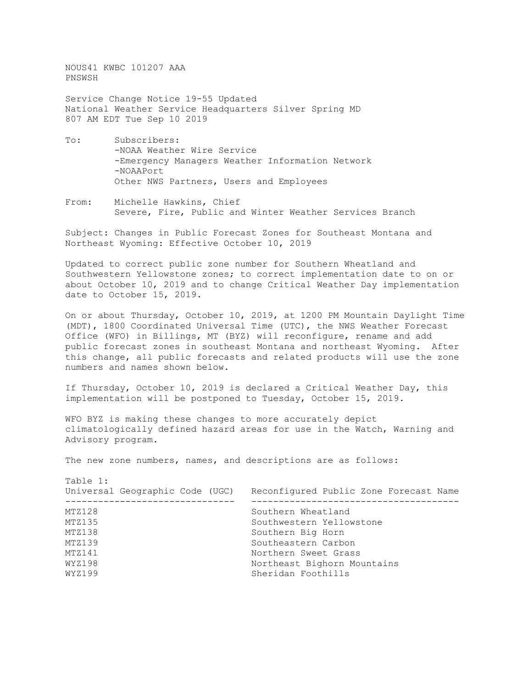NOUS41 KWBC 101207 AAA PNSWSH

Service Change Notice 19-55 Updated National Weather Service Headquarters Silver Spring MD 807 AM EDT Tue Sep 10 2019

- To: Subscribers: -NOAA Weather Wire Service -Emergency Managers Weather Information Network -NOAAPort Other NWS Partners, Users and Employees
- From: Michelle Hawkins, Chief Severe, Fire, Public and Winter Weather Services Branch

Subject: Changes in Public Forecast Zones for Southeast Montana and Northeast Wyoming: Effective October 10, 2019

Updated to correct public zone number for Southern Wheatland and Southwestern Yellowstone zones; to correct implementation date to on or about October 10, 2019 and to change Critical Weather Day implementation date to October 15, 2019.

On or about Thursday, October 10, 2019, at 1200 PM Mountain Daylight Time (MDT), 1800 Coordinated Universal Time (UTC), the NWS Weather Forecast Office (WFO) in Billings, MT (BYZ) will reconfigure, rename and add public forecast zones in southeast Montana and northeast Wyoming. After this change, all public forecasts and related products will use the zone numbers and names shown below.

If Thursday, October 10, 2019 is declared a Critical Weather Day, this implementation will be postponed to Tuesday, October 15, 2019.

WFO BYZ is making these changes to more accurately depict climatologically defined hazard areas for use in the Watch, Warning and Advisory program.

The new zone numbers, names, and descriptions are as follows:

Table 1: Universal Geographic Code (UGC) Reconfigured Public Zone Forecast Name ------------------------------- -------------------------------------- MTZ128 Southern Wheatland<br>MTZ135 Southwestern Yellow MTZ135 Southwestern Yellowstone<br>MTZ138 Southern Big Horn MTZ138 Southern Big Horn<br>MTZ139 Southeastern Carbo MTZ139 Southeastern Carbon<br>MTZ141 Sweet Grass MTZ141 MORTAL NORTHERN Sweet Grass<br>WYZ198 Northeast Bighorn Mor WYZ198 **Northeast Bighorn Mountains**<br>WYZ199 Sheridan Foothills Sheridan Foothills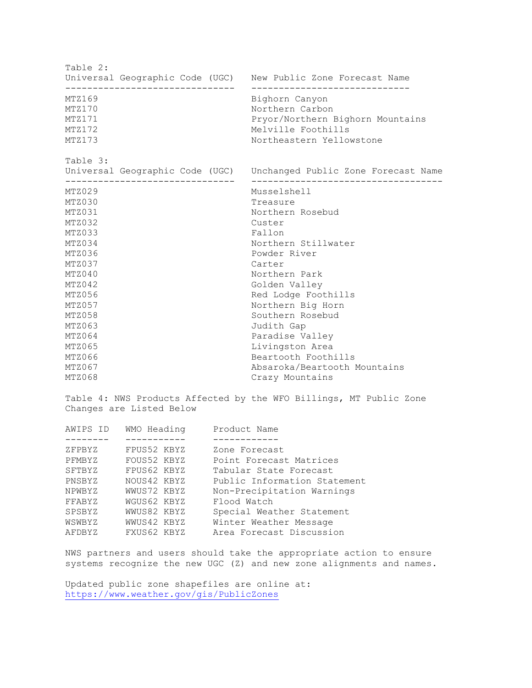Table 2: Universal Geographic Code (UGC) New Public Zone Forecast Name ------------------------------- ----------------------------- MTZ169 Bighorn Canyon<br>MTZ170 Borthern Carbo MTZ170 Northern Carbon<br>MTZ171 Northern Exporance Property Property Property Dental MTZ171 Pryor/Northern Bighorn Mountains<br>MTZ172 Melville Foothills MTZ172 Melville Foothills<br>MTZ173 MTZ173 Mortheastern Yellow Northeastern Yellowstone Table 3: Universal Geographic Code (UGC) Unchanged Public Zone Forecast Name ------------------------------- ----------------------------------- MTZ029 Musselshell<br>MTZ030 MTZ030 MTZ030 MUSSelshell MTZ030 Treasure<br>MTZ031 MTZ031 Northern MTZ031 Northern Rosebud<br>MTZ032 Custer MTZ032 Custer<br>MTZ033 Fallon MTZ033 Fallon<br>MTZ034 Hallon MTZ034 Hallon MTZ034 Northern Stillwater<br>MTZ036 Northern Stillwater<br>Powder River MTZ036 Powder River<br>MTZ037 Carter MTZ037 Carter MTZ040 Northern Park MTZ042 Golden Valley MTZ056 Red Lodge Foothills<br>MTZ057 Red Lodge Foothills MTZ057 Northern Big Horn<br>MTZ058 Northern Rosebud MTZ058 Southern Rosebud<br>MTZ063 Judith Gap MTZ063 Judith Gap<br>MTZ064 Dennes Paradise Va MTZ064 Paradise Valley<br>MTZ065 Paradise Valley<br>Livingston Area MTZ065 Livingston Area<br>MTZ066 Livingston Area<br>Beartooth Footh: MTZ066 Beartooth Foothills<br>MTZ067 Beartooth Absaroka/Beartooth I MTZ067 MTZ067 Absaroka/Beartooth Mountains<br>MTZ068 Crazy Mountains Crazy Mountains

Table 4: NWS Products Affected by the WFO Billings, MT Public Zone Changes are Listed Below

| AWIPS ID | WMO Heading | Product Name                 |
|----------|-------------|------------------------------|
|          |             |                              |
| ZFPBYZ   | FPUS52 KBYZ | Zone Forecast                |
| PFMBYZ   | FOUS52 KBYZ | Point Forecast Matrices      |
| SFTBYZ   | FPUS62 KBYZ | Tabular State Forecast       |
| PNSBYZ   | NOUS42 KBYZ | Public Information Statement |
| NPWBYZ   | WWUS72 KBYZ | Non-Precipitation Warnings   |
| FFABYZ   | WGUS62 KBYZ | Flood Watch                  |
| SPSBYZ   | WWUS82 KBYZ | Special Weather Statement    |
| WSWBYZ   | WWUS42 KBYZ | Winter Weather Message       |
| AFDBYZ   | FXUS62 KBYZ | Area Forecast Discussion     |
|          |             |                              |

NWS partners and users should take the appropriate action to ensure systems recognize the new UGC (Z) and new zone alignments and names.

Updated public zone shapefiles are online at: <https://www.weather.gov/gis/PublicZones>